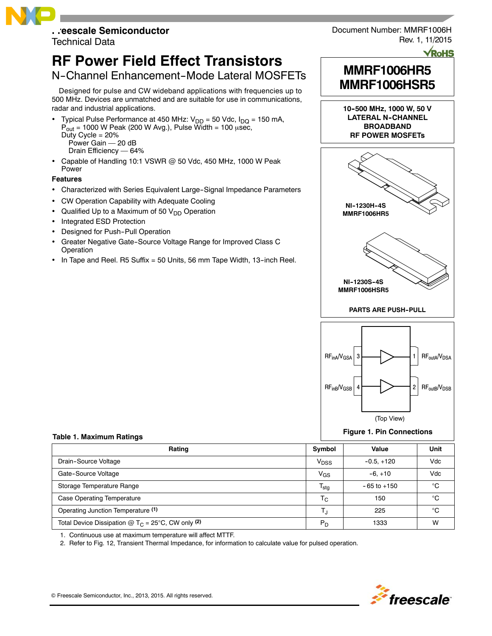# **Freescale Semiconductor**

Technical Data

# **RF Power Field Effect Transistors**

# N-Channel Enhancement-Mode Lateral MOSFETs

Designed for pulse and CW wideband applications with frequencies up to 500 MHz. Devices are unmatched and are suitable for use in communications, radar and industrial applications.

- Typical Pulse Performance at 450 MHz:  $V_{DD} = 50$  Vdc,  $I_{DQ} = 150$  mA,  $\overrightarrow{P}_{out}$  = 1000 W Peak (200 W Avg.), Pulse Width = 100  $\mu$ sec, Duty Cycle  $= 20%$ Power Gain — 20 dB Drain Efficiency — 64%
- Capable of Handling 10:1 VSWR @ 50 Vdc, 450 MHz, 1000 W Peak Power

## **Features**

- Characterized with Series Equivalent Large-Signal Impedance Parameters
- CW Operation Capability with Adequate Cooling
- Qualified Up to a Maximum of 50  $V_{DD}$  Operation
- Integrated ESD Protection
- Designed for Push-Pull Operation
- Greater Negative Gate--Source Voltage Range for Improved Class C Operation
- In Tape and Reel. R5 Suffix = 50 Units, 56 mm Tape Width, 13--inch Reel.



**RoHS** 

# **MMRF1006HR5 MMRF1006HSR5**

**10--500 MHz, 1000 W, 50 V LATERAL N--CHANNEL BROADBAND RF POWER MOSFETs**





## **Figure 1. Pin Connections**

#### **Table 1. Maximum Ratings**

| Rating                                                       | Symbol                    | Value           | Unit |
|--------------------------------------------------------------|---------------------------|-----------------|------|
| Drain-Source Voltage                                         | V <sub>DSS</sub>          | $-0.5, +120$    | Vdc  |
| Gate-Source Voltage                                          | V <sub>GS</sub>           | $-6. +10$       | Vdc  |
| Storage Temperature Range                                    | $\mathsf{T}_{\text{stg}}$ | $-65$ to $+150$ | °C   |
| <b>Case Operating Temperature</b>                            | T <sub>C</sub>            | 150             | °C   |
| Operating Junction Temperature (1)                           | T.,                       | 225             | °C   |
| Total Device Dissipation @ $T_C = 25^{\circ}C$ , CW only (2) | $P_{D}$                   | 1333            | W    |

1. Continuous use at maximum temperature will affect MTTF.

2. Refer to Fig. 12, Transient Thermal Impedance, for information to calculate value for pulsed operation.

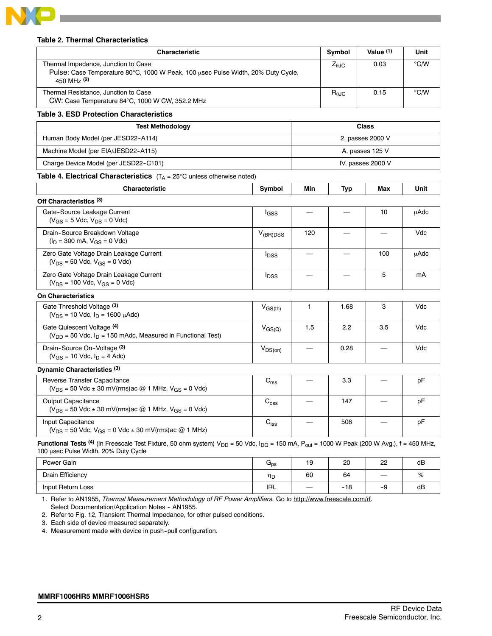

#### **Table 2. Thermal Characteristics**

| <b>Characteristic</b>                                                                                                                  |                  | Symbol                 | Value $(1)$              | Unit              |               |
|----------------------------------------------------------------------------------------------------------------------------------------|------------------|------------------------|--------------------------|-------------------|---------------|
| Thermal Impedance, Junction to Case<br>Pulse: Case Temperature 80°C, 1000 W Peak, 100 usec Pulse Width, 20% Duty Cycle,<br>450 MHz (2) |                  | $Z_{\theta \text{JC}}$ | 0.03                     | °C/W              |               |
| Thermal Resistance, Junction to Case<br>CW: Case Temperature 84°C, 1000 W CW, 352.2 MHz                                                |                  |                        | $R_{\theta JC}$          | 0.15              | $\degree$ C/W |
| <b>Table 3. ESD Protection Characteristics</b>                                                                                         |                  |                        |                          |                   |               |
| <b>Test Methodology</b>                                                                                                                |                  |                        |                          | <b>Class</b>      |               |
| Human Body Model (per JESD22-A114)                                                                                                     |                  |                        |                          | 2, passes 2000 V  |               |
| Machine Model (per EIA/JESD22-A115)                                                                                                    |                  |                        |                          | A, passes 125 V   |               |
| Charge Device Model (per JESD22-C101)                                                                                                  |                  |                        |                          | IV, passes 2000 V |               |
| <b>Table 4. Electrical Characteristics</b> $(T_A = 25^{\circ}C \text{ unless otherwise noted})$                                        |                  |                        |                          |                   |               |
| <b>Characteristic</b>                                                                                                                  | Min              | Typ                    | Max                      | Unit              |               |
| Off Characteristics (3)                                                                                                                |                  |                        |                          |                   |               |
| Gate-Source Leakage Current<br>$(V_{GS} = 5$ Vdc, $V_{DS} = 0$ Vdc)                                                                    | l <sub>GSS</sub> |                        |                          | 10                | <b>µAdc</b>   |
| Drain-Source Breakdown Voltage<br>$(I_D = 300 \text{ mA}, V_{GS} = 0 \text{ Vdc})$                                                     | $V_{(BR)DSS}$    | 120                    |                          |                   | Vdc           |
| Zero Gate Voltage Drain Leakage Current<br>$(V_{DS} = 50$ Vdc, $V_{GS} = 0$ Vdc)                                                       | $I_{DSS}$        |                        | $\overline{\phantom{0}}$ | 100               | μAdc          |
| Zero Gate Voltage Drain Leakage Current<br>$(V_{DS} = 100$ Vdc, $V_{GS} = 0$ Vdc)                                                      |                  |                        | 5                        | mA                |               |
| <b>On Characteristics</b>                                                                                                              |                  |                        |                          |                   |               |
| Gate Threshold Voltage (3)<br>$(V_{DS} = 10$ Vdc, $I_D = 1600$ $\mu$ Adc)                                                              | $V_{GS(th)}$     | 1                      | 1.68                     | 3                 | Vdc           |
| Gate Quiescent Voltage (4)<br>$V_{GS(Q)}$<br>$(V_{DD} = 50$ Vdc, $I_D = 150$ mAdc, Measured in Functional Test)                        |                  |                        | 2.2                      | 3.5               | Vdc           |
| Drain-Source On-Voltage (3)<br>$(V_{GS} = 10$ Vdc, $I_D = 4$ Adc)                                                                      | $V_{DS(on)}$     |                        | 0.28                     |                   | Vdc           |
| Dynamic Characteristics (3)                                                                                                            |                  |                        |                          |                   |               |
| Reverse Transfer Capacitance<br>( $V_{DS}$ = 50 Vdc ± 30 mV(rms)ac @ 1 MHz, V <sub>GS</sub> = 0 Vdc)                                   | $C_{\text{rss}}$ |                        | 3.3                      |                   | pF            |
| <b>Output Capacitance</b><br>$(V_{DS} = 50$ Vdc ± 30 mV(rms)ac @ 1 MHz, V <sub>GS</sub> = 0 Vdc)                                       |                  | 147                    |                          | pF                |               |
| Input Capacitance<br>$(V_{DS} = 50$ Vdc, $V_{GS} = 0$ Vdc $\pm$ 30 mV(rms) ac @ 1 MHz)                                                 |                  | 506                    |                          | pF                |               |

| Power Gain        | $\mathsf{u}_{\mathsf{ps}}$ | 19                | 20    | 22                | dB |
|-------------------|----------------------------|-------------------|-------|-------------------|----|
| Drain Efficiency  | ηD                         | 60                | 64    | $\hspace{0.05cm}$ | %  |
| Input Return Loss | IRL                        | $\hspace{0.05cm}$ | $-18$ | -9                | dB |

1. Refer to AN1955, *Thermal Measurement Methodology of RF Power Amplifiers.* Go to http://www.freescale.com/rf. Select Documentation/Application Notes - AN1955.

2. Refer to Fig. 12, Transient Thermal Impedance, for other pulsed conditions.

3. Each side of device measured separately.

4. Measurement made with device in push--pull configuration.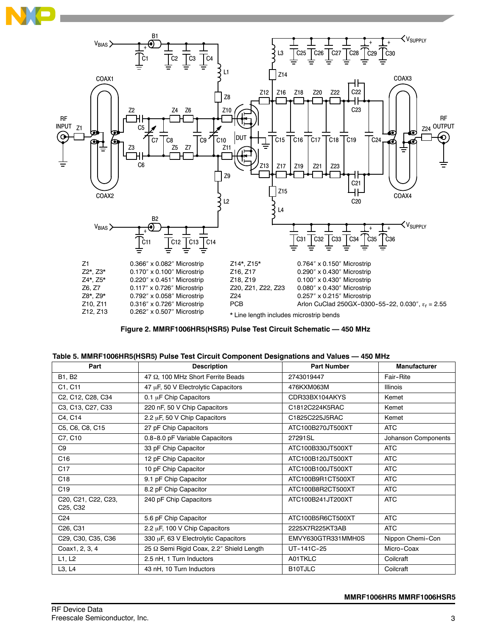



## **Figure 2. MMRF1006HR5(HSR5) Pulse Test Circuit Schematic — 450 MHz**

| Part                                                     | <b>Description</b>                       | <b>Part Number</b> | <b>Manufacturer</b> |
|----------------------------------------------------------|------------------------------------------|--------------------|---------------------|
| B1, B2                                                   | 47 Ω, 100 MHz Short Ferrite Beads        | 2743019447         | Fair-Rite           |
| C1, C11                                                  | 47 µF, 50 V Electrolytic Capacitors      | 476KXM063M         | <b>Illinois</b>     |
| C2, C12, C28, C34                                        | 0.1 µF Chip Capacitors                   | CDR33BX104AKYS     | Kemet               |
| C3, C13, C27, C33                                        | 220 nF, 50 V Chip Capacitors             | C1812C224K5RAC     | Kemet               |
| C4, C14                                                  | 2.2 µF, 50 V Chip Capacitors             | C1825C225J5RAC     | Kemet               |
| C5, C6, C8, C15                                          | 27 pF Chip Capacitors                    | ATC100B270JT500XT  | <b>ATC</b>          |
| C7, C10                                                  | 0.8-8.0 pF Variable Capacitors           | 27291SL            | Johanson Components |
| C9                                                       | 33 pF Chip Capacitor                     | ATC100B330JT500XT  | <b>ATC</b>          |
| C16                                                      | 12 pF Chip Capacitor                     | ATC100B120JT500XT  | <b>ATC</b>          |
| C <sub>17</sub>                                          | 10 pF Chip Capacitor                     | ATC100B100JT500XT  | <b>ATC</b>          |
| C <sub>18</sub>                                          | 9.1 pF Chip Capacitor                    | ATC100B9R1CT500XT  | <b>ATC</b>          |
| C <sub>19</sub>                                          | 8.2 pF Chip Capacitor                    | ATC100B8R2CT500XT  | <b>ATC</b>          |
| C20, C21, C22, C23,<br>C <sub>25</sub> , C <sub>32</sub> | 240 pF Chip Capacitors                   | ATC100B241JT200XT  | <b>ATC</b>          |
| C24                                                      | 5.6 pF Chip Capacitor                    | ATC100B5R6CT500XT  | <b>ATC</b>          |
| C <sub>26</sub> , C <sub>31</sub>                        | 2.2 µF, 100 V Chip Capacitors            | 2225X7R225KT3AB    | <b>ATC</b>          |
| C29, C30, C35, C36                                       | 330 µF, 63 V Electrolytic Capacitors     | EMVY630GTR331MMH0S | Nippon Chemi-Con    |
| Coax1, 2, 3, 4                                           | 25 Ω Semi Rigid Coax, 2.2" Shield Length | UT-141C-25         | Micro-Coax          |
| L1, L2                                                   | 2.5 nH, 1 Turn Inductors                 | A01TKLC            | Coilcraft           |
| L3, L4                                                   | 43 nH, 10 Turn Inductors                 | B10TJLC            | Coilcraft           |

|  | Table 5. MMRF1006HR5(HSR5) Pulse Test Circuit Component Designations and Values — 450 MHz |
|--|-------------------------------------------------------------------------------------------|
|--|-------------------------------------------------------------------------------------------|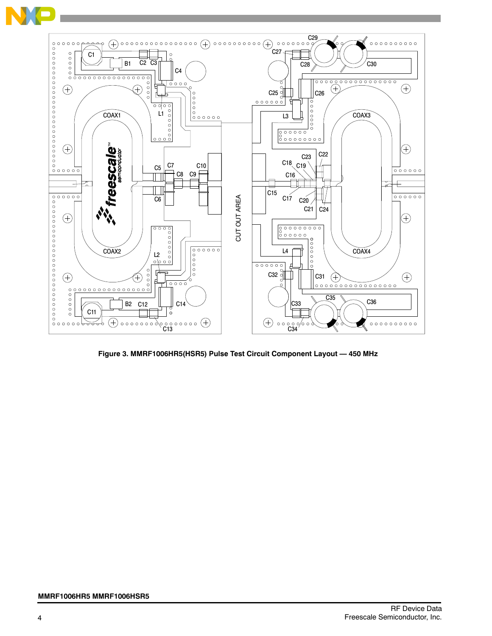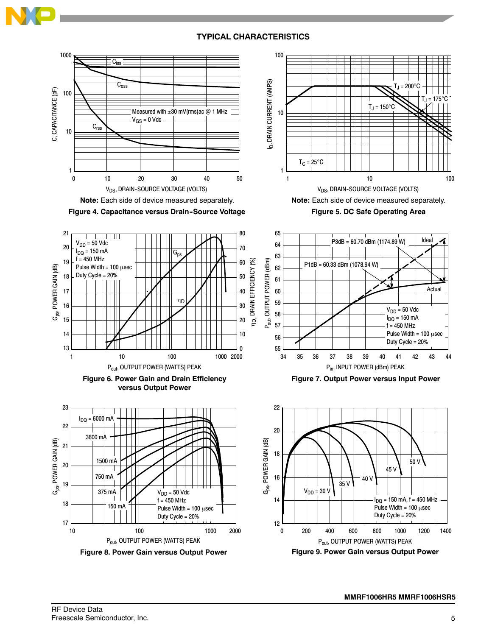

# **TYPICAL CHARACTERISTICS**

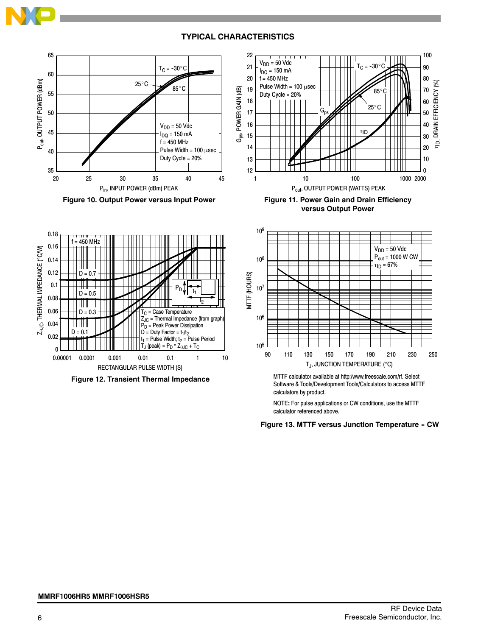

## **TYPICAL CHARACTERISTICS**







**versus Output Power**



**Figure 12. Transient Thermal Impedance**



MTTF calculator available at http:/www.freescale.com/rf. Select Software & Tools/Development Tools/Calculators to access MTTF calculators by product.

NOTE**:** For pulse applications or CW conditions, use the MTTF calculator referenced above.

**Figure 13. MTTF versus Junction Temperature - CW**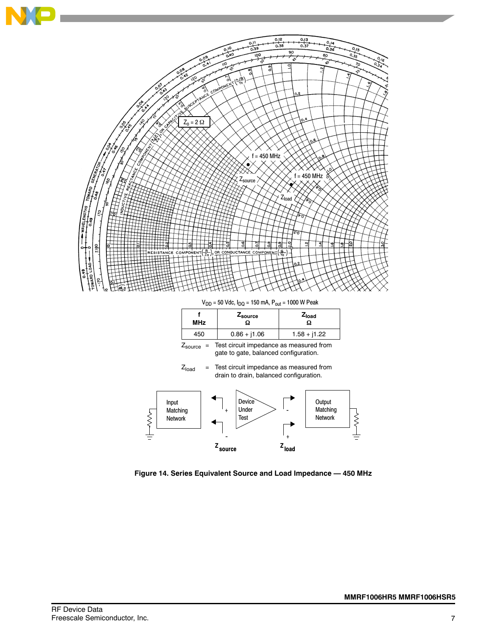

 $V_{DD}$  = 50 Vdc,  $I_{DQ}$  = 150 mA,  $P_{out}$  = 1000 W Peak

| MHz | Z <sub>source</sub> | $Z_{load}$<br>Ω |
|-----|---------------------|-----------------|
| 450 | $0.86 + j1.06$      | $1.58 + j1.22$  |

 $Z_{\text{source}}$  = Test circuit impedance as measured from gate to gate, balanced configuration.





**Figure 14. Series Equivalent Source and Load Impedance — 450 MHz**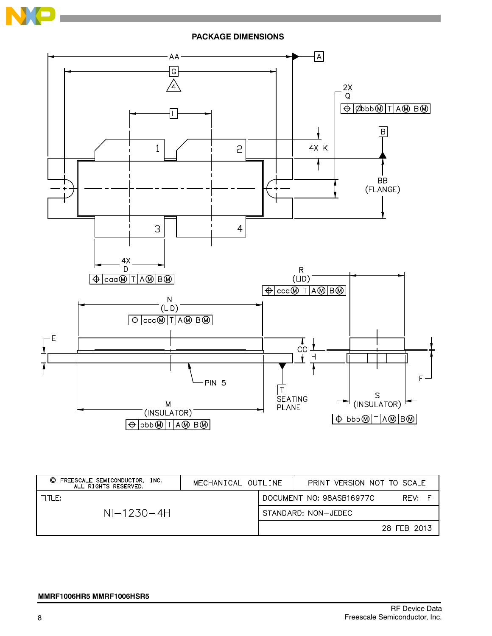



| FREESCALE SEMICONDUCTOR,<br>O<br>INC.<br>ALL RIGHTS RESERVED. | MECHANICAL OUTLINE | PRINT VERSION NOT TO SCALE |             |
|---------------------------------------------------------------|--------------------|----------------------------|-------------|
| TITLE:                                                        |                    | DOCUMENT NO: 98ASB16977C   | RFV:        |
| $NI-1230-4H$                                                  |                    | STANDARD: NON-JEDEC        |             |
|                                                               |                    |                            | 28 FEB 2013 |

#### **MMRF1006HR5 MMRF1006HSR5**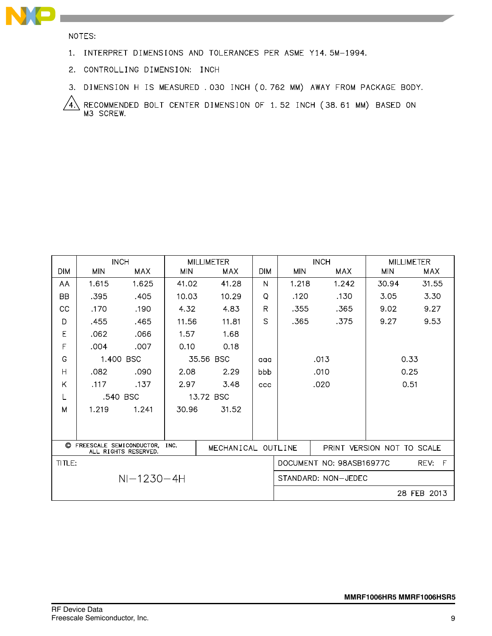

NOTES:

- 1. INTERPRET DIMENSIONS AND TOLERANCES PER ASME Y14.5M-1994.
- 2. CONTROLLING DIMENSION: INCH
- 3. DIMENSION H IS MEASURED . 030 INCH (0.762 MM) AWAY FROM PACKAGE BODY.

RECOMMENDED BOLT CENTER DIMENSION OF 1.52 INCH (38.61 MM) BASED ON M3 SCREW.  $\sqrt{4}$ 

|            |                            | <b>INCH</b>          |            | <b>MILLIMETER</b>  |            |                            | <b>INCH</b>              |            | <b>MILLIMETER</b> |
|------------|----------------------------|----------------------|------------|--------------------|------------|----------------------------|--------------------------|------------|-------------------|
| <b>DIM</b> | <b>MIN</b>                 | <b>MAX</b>           | <b>MIN</b> | <b>MAX</b>         | <b>DIM</b> | <b>MIN</b><br>MAX          |                          | <b>MIN</b> | <b>MAX</b>        |
| AA         | 1.615                      | 1.625                | 41.02      | 41.28              | N          | 1.218                      | 1.242                    | 30.94      | 31.55             |
| <b>BB</b>  | .395                       | .405                 | 10.03      | 10.29              | Q          | .120                       | .130                     | 3.05       | 3.30              |
| CC         | .170                       | .190                 | 4.32       | 4.83               | R          | .355                       | .365                     | 9.02       | 9.27              |
| D          | .455                       | .465                 | 11.56      | 11.81              | S.         | .365                       | .375                     | 9.27       | 9.53              |
| E          | .062                       | .066                 | 1.57       | 1.68               |            |                            |                          |            |                   |
| F          | .004                       | .007                 | 0.10       | 0.18               |            |                            |                          |            |                   |
| G          |                            | 1.400 BSC            |            | 35.56 BSC          | aaa        |                            | 0.33<br>.013             |            |                   |
| H          | .082                       | .090                 | 2.08       | 2.29               | bbb        |                            | 0.25<br>.010             |            |                   |
| Κ          | .117                       | .137                 | 2.97       | 3.48               | CCC        |                            | .020                     |            | 0.51              |
| L          |                            | .540 BSC             |            | 13.72 BSC          |            |                            |                          |            |                   |
| M          | 1.219                      | 1.241                | 30.96      | 31.52              |            |                            |                          |            |                   |
|            |                            |                      |            |                    |            |                            |                          |            |                   |
|            |                            |                      |            |                    |            |                            |                          |            |                   |
|            | C FREESCALE SEMICONDUCTOR, | ALL RIGHTS RESERVED. | INC.       | MECHANICAL OUTLINE |            | PRINT VERSION NOT TO SCALE |                          |            |                   |
| TITLE:     |                            |                      |            |                    |            |                            | DOCUMENT NO: 98ASB16977C |            | F<br>REV:         |
|            |                            | $NI-1230-4H$         |            |                    |            | STANDARD: NON-JEDEC        |                          |            |                   |
|            |                            |                      |            |                    |            |                            |                          |            | 28 FEB 2013       |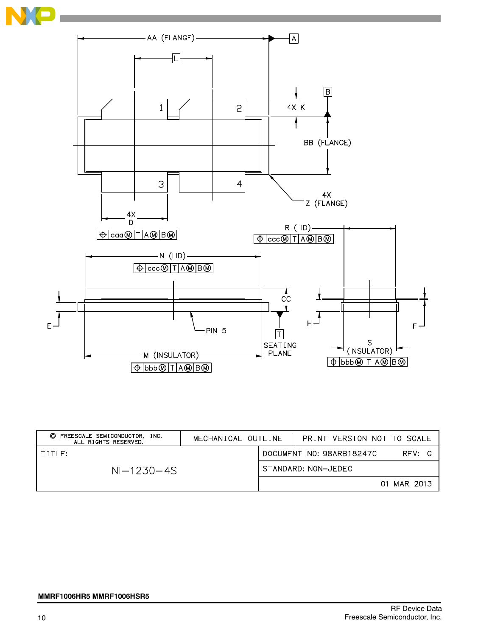



| FREESCALE SEMICONDUCTOR,<br>O<br>INC.<br>ALL RIGHTS RESERVED. | MECHANICAL OUTLINE |  | PRINT VERSION NOT TO SCALE         |
|---------------------------------------------------------------|--------------------|--|------------------------------------|
| TITIF:                                                        |                    |  | DOCUMENT NO: 98ARB18247C<br>RFV: G |
| $NI-1230-4S$                                                  |                    |  | STANDARD: NON-JEDEC                |
|                                                               |                    |  | 01 MAR 2013                        |

#### **MMRF1006HR5 MMRF1006HSR5**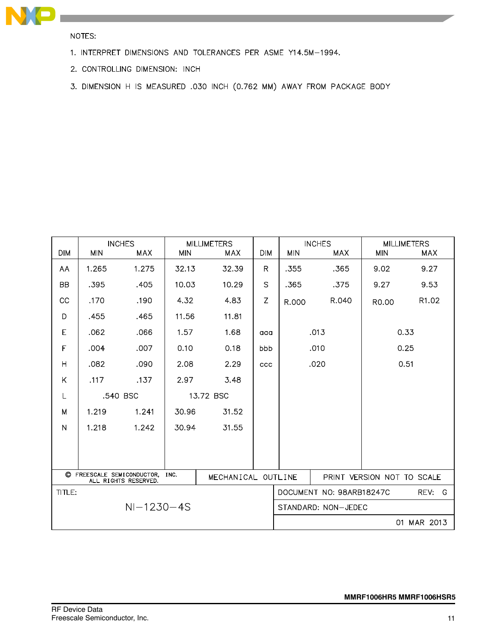

NOTES:

- 1. INTERPRET DIMENSIONS AND TOLERANCES PER ASME Y14.5M-1994.
- 2. CONTROLLING DIMENSION: INCH
- 3. DIMENSION H IS MEASURED .030 INCH (0.762 MM) AWAY FROM PACKAGE BODY

| <b>DIM</b>              | <b>MIN</b>   | <b>INCHES</b><br>MAX                               | <b>MIN</b> | <b>MILLIMETERS</b><br><b>MAX</b> | <b>DIM</b> | <b>MIN</b>                 | <b>INCHES</b><br>MAX     | <b>MIN</b> | <b>MILLIMETERS</b><br>MAX |
|-------------------------|--------------|----------------------------------------------------|------------|----------------------------------|------------|----------------------------|--------------------------|------------|---------------------------|
| AA                      | 1.265        | 1.275                                              | 32.13      | 32.39                            | R.         | .355                       | .365                     | 9.02       | 9.27                      |
| <b>BB</b>               | .395         | .405                                               | 10.03      | 10.29                            | S          | .365                       | .375                     | 9.27       | 9.53                      |
| CC                      | .170         | .190                                               | 4.32       | 4.83                             | Z          |                            | R.040                    |            | R1.02                     |
|                         |              |                                                    |            |                                  |            | R.000                      |                          | R0.00      |                           |
| D                       | .455         | .465                                               | 11.56      | 11.81                            |            |                            |                          |            |                           |
| E                       | .062         | .066                                               | 1.57       | 1.68                             | aaa        |                            | .013                     |            | 0.33                      |
| F                       | .004         | .007                                               | 0.10       | 0.18                             | bbb        |                            | .010                     |            | 0.25                      |
| $\overline{\mathsf{H}}$ | .082         | .090                                               | 2.08       | 2.29                             | ccc        |                            | .020                     |            | 0.51                      |
| Κ                       | .117         | .137                                               | 2.97       | 3.48                             |            |                            |                          |            |                           |
| L                       |              | .540 BSC                                           |            | 13.72 BSC                        |            |                            |                          |            |                           |
| M                       | 1.219        | 1.241                                              | 30.96      | 31.52                            |            |                            |                          |            |                           |
| N                       | 1.218        | 1.242                                              | 30.94      | 31.55                            |            |                            |                          |            |                           |
|                         |              |                                                    |            |                                  |            |                            |                          |            |                           |
|                         |              |                                                    |            |                                  |            |                            |                          |            |                           |
|                         |              | C FREESCALE SEMICONDUCTOR,<br>ALL RIGHTS RESERVED. | INC.       | MECHANICAL OUTLINE               |            | PRINT VERSION NOT TO SCALE |                          |            |                           |
| TITLE:                  |              |                                                    |            |                                  |            |                            | DOCUMENT NO: 98ARB18247C |            | REV:<br>-G                |
|                         | $NI-1230-4S$ |                                                    |            |                                  |            |                            | STANDARD: NON-JEDEC      |            |                           |
|                         |              |                                                    |            |                                  |            |                            |                          | 01         | MAR 2013                  |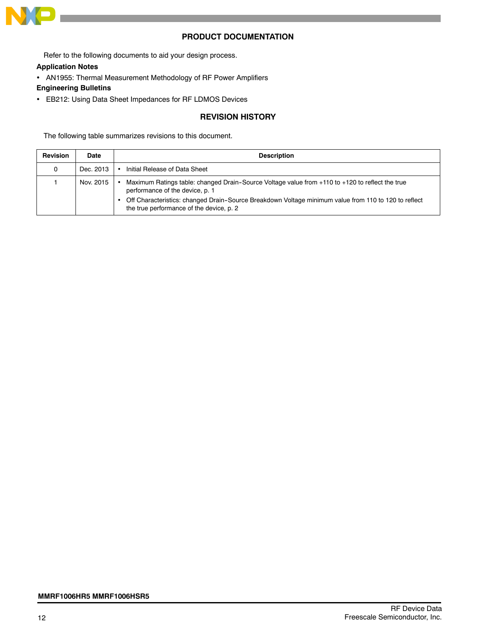

# **PRODUCT DOCUMENTATION**

Refer to the following documents to aid your design process.

#### **Application Notes**

• AN1955: Thermal Measurement Methodology of RF Power Amplifiers

## **Engineering Bulletins**

• EB212: Using Data Sheet Impedances for RF LDMOS Devices

# **REVISION HISTORY**

The following table summarizes revisions to this document.

| <b>Revision</b> | Date      | <b>Description</b>                                                                                                                                                                                                                                                                     |
|-----------------|-----------|----------------------------------------------------------------------------------------------------------------------------------------------------------------------------------------------------------------------------------------------------------------------------------------|
| 0               | Dec. 2013 | Initial Release of Data Sheet                                                                                                                                                                                                                                                          |
|                 | Nov. 2015 | Maximum Ratings table: changed Drain-Source Voltage value from +110 to +120 to reflect the true<br>performance of the device, p. 1<br>Off Characteristics: changed Drain-Source Breakdown Voltage minimum value from 110 to 120 to reflect<br>the true performance of the device, p. 2 |